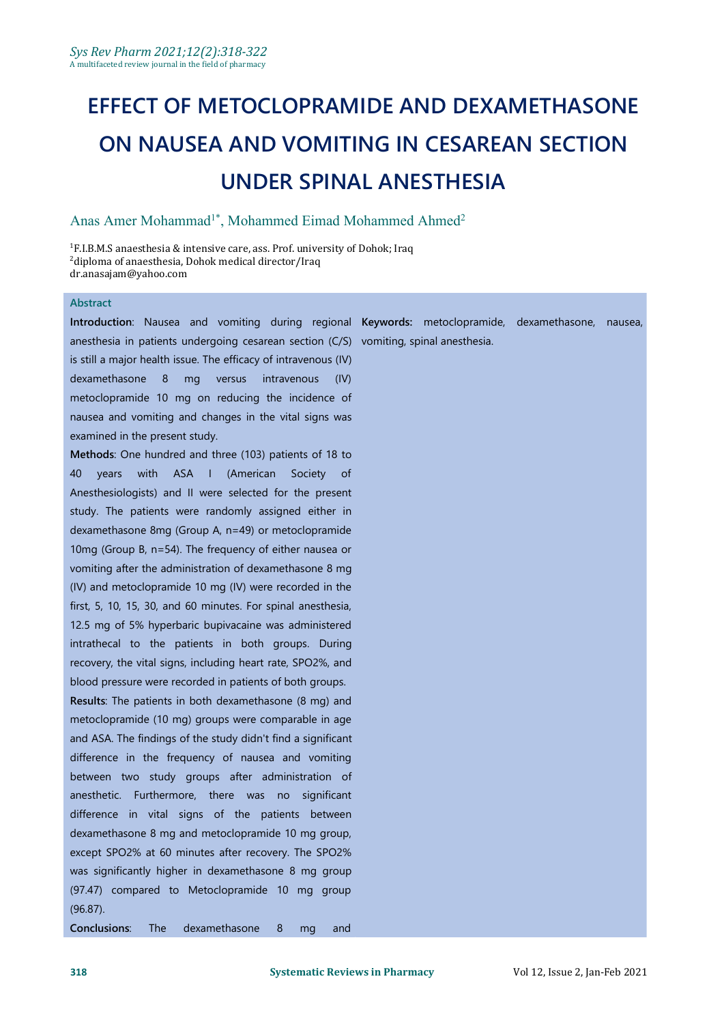# **EFFECT OF METOCLOPRAMIDE AND DEXAMETHASONE ON NAUSEA AND VOMITING IN CESAREAN SECTION UNDER SPINAL ANESTHESIA**

#### Anas Amer Mohammad<sup>1\*</sup>, Mohammed Eimad Mohammed Ahmed<sup>2</sup> 2

<sup>1</sup>F.I.B.M.S anaesthesia & intensive care, ass. Prof. university of Dohok; Iraq <sup>2</sup>diploma of anaesthesia, Dohok medical director/Iraq [dr.anasajam@yahoo.com](mailto:dr.anasajam@yahoo.com)

#### **Abstract**

**Introduction**: Nausea and vomiting during regional **Keywords:** metoclopramide, dexamethasone, nausea, anesthesia in patients undergoing cesarean section (C/S) vomiting, spinal anesthesia.is still a major health issue. The efficacy of intravenous (IV) dexamethasone 8 mg versus intravenous (IV) metoclopramide 10 mg on reducing the incidence of nausea and vomiting and changes in the vital signs was examined in the present study.

**Methods**: One hundred and three (103) patients of 18 to 40 years with ASA I (American Society of Anesthesiologists) and II were selected for the present study. The patients were randomly assigned either in dexamethasone 8mg (Group A, n=49) or metoclopramide 10mg (Group B, n=54). The frequency of either nausea or vomiting after the administration of dexamethasone 8 mg (IV) and metoclopramide 10 mg (IV) were recorded in the first, 5, 10, 15, 30, and 60 minutes. For spinal anesthesia, 12.5 mg of 5% hyperbaric bupivacaine was administered intrathecal to the patients in both groups. During recovery, the vital signs, including heart rate, SPO2%, and blood pressure were recorded in patients of both groups.

**Results**: The patients in both dexamethasone (8 mg) and metoclopramide (10 mg) groups were comparable in age and ASA. The findings of the study didn't find a significant difference in the frequency of nausea and vomiting between two study groups after administration of anesthetic. Furthermore, there was no significant difference in vital signs of the patients between dexamethasone 8 mg and metoclopramide 10 mg group, except SPO2% at 60 minutes after recovery. The SPO2% was significantly higher in dexamethasone 8 mg group (97.47) compared to Metoclopramide 10 mg group (96.87).

**Conclusions**: The dexamethasone 8 mg and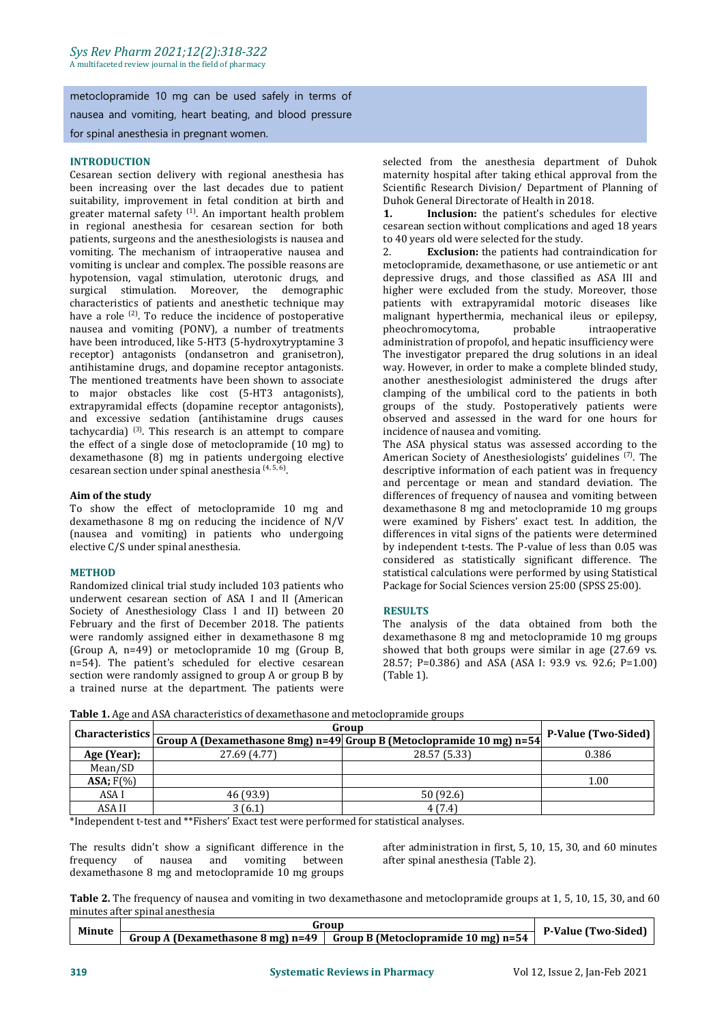metoclopramide 10 mg can be used safely in terms of nausea and vomiting, heart beating, and blood pressure for spinal anesthesia in pregnant women.

#### **INTRODUCTION**

Cesarean section delivery with regional anesthesia has suitability, improvement in fetal condition at birth and  $\blacksquare$  Duhok General Directorate of Health in 2018.<br>
greater maternal safety <sup>(1)</sup> An important health problem **1. Inclusion:** the patient's schedules greater maternal safety <sup>(1)</sup>. An important health problem **1. Inclusion:** the pat in regional anesthesia for cesarean section for both patients, surgeons and the anesthesiologists is nausea and to<br>vomiting The mechanism of intraonerative nausea and 2 vomiting. The mechanism of intraoperative nausea and vomiting is unclear and complex. The possible reasons are hypotension, vagal stimulation, uterotonic drugs, and surgical stimulation. Moreover, the demographic characteristics of patients and anesthetic technique may have a role <sup>(2)</sup>. To reduce the incidence of postoperative **himich in** malignant hy nausea and vomiting (PONV), a number of treatments pheochromocytoma, have been introduced, like 5-HT3 (5-hydroxytryptamine 3 receptor) antagonists (ondansetron and granisetron), antihistamine drugs, and dopamine receptor antagonists. The mentioned treatments have been shown to associate to major obstacles like cost (5-HT3 antagonists), extrapyramidal effects (dopamine receptor antagonists), and excessive sedation (antihistamine drugs causes tachycardia)<sup>(3)</sup>. This research is an attempt to compare incidence of i the effect of a single dose of metoclopramide  $(10 \text{ mg})$  to dexamethasone (8) mg in patients undergoing elective cesarean section under spinal anesthesia <sup>(4, 5, 6)</sup>. .

#### **Aim of the study**

To show the effect of metoclopramide 10 mg and dexamethasone 8 mg on reducing the incidence of N/V (nausea and vomiting) in patients who undergoing elective C/S under spinal anesthesia.

#### **METHOD**

Randomized clinical trial study included 103 patients who underwent cesarean section of ASA I and II (American Society of Anesthesiology Class I and II) between 20 February and the first of December 2018. The patients were randomly assigned either in dexamethasone 8 mg<br>
(Group A, n=49) or metoclopramide 10 mg (Group B, showed that both groups were similar in age (27.69 vs. (Group A, n=49) or metoclopramide 10 mg (Group B, n=54). The patient's scheduled for elective cesarean section were randomly assigned to group A or group B by a trained nurse at the department. The patients were

selected from the anesthesia department of Duhok maternity hospital after taking ethical approval from the Scientific Research Division/ Department of Planning of

Inclusion: the patient's schedules for elective cesarean section without complications and aged 18 years to 40 years old were selected for the study.

**Exclusion:** the patients had contraindication for metoclopramide, dexamethasone, or use antiemetic or ant depressive drugs, and those classified as ASA III and higher were excluded from the study. Moreover, those patients with extrapyramidal motoric diseases like malignant hyperthermia, mechanical ileus or epilepsy, pheochromocytoma, probable intraoperative administration of propofol, and hepatic insufficiency were The investigator prepared the drug solutions in an ideal way. However, in order to make a complete blinded study, another anesthesiologist administered the drugs after clamping of the umbilical cord to the patients in both groups of the study. Postoperatively patients were observed and assessed in the ward for one hours for incidence of nausea and vomiting.

The ASA physical status was assessed according to the American Society of Anesthesiologists' guidelines <sup>(7)</sup>. The descriptive information of each patient was in frequency and percentage or mean and standard deviation. The differences of frequency of nausea and vomiting between dexamethasone 8 mg and metoclopramide 10 mg groups were examined by Fishers' exact test. In addition, the differences in vital signs of the patients were determined by independent t-tests. The P-value of less than 0.05 was considered as statistically significant difference. The statistical calculations were performed by using Statistical Package for Social Sciences version 25:00 (SPSS 25:00).

#### **RESULTS**

The analysis of the data obtained from both the dexamethasone 8 mg and metoclopramide 10 mg groups 28.57; P=0.386) and ASA (ASA I: 93.9 vs. 92.6; P=1.00) (Table 1).

|                  | Group                                                                | <b>P-Value (Two-Sided)</b> |       |
|------------------|----------------------------------------------------------------------|----------------------------|-------|
| Characteristics  | Group A (Dexamethasone 8mg) n=49 Group B (Metoclopramide 10 mg) n=54 |                            |       |
| Age (Year);      | 27.69 (4.77)                                                         | 28.57 (5.33)               | 0.386 |
| Mean/SD          |                                                                      |                            |       |
| $ASA$ ; $F(\% )$ |                                                                      |                            | 1.00  |
| ASA I            | 46 (93.9)                                                            | 50(92.6)                   |       |
| ASA II           | 3(6.1)                                                               | 4(7.4)                     |       |

**Table 1.** Age and ASA characteristics of dexamethasone and metoclopramide groups

\*Independent t-test and \*\*Fishers' Exact test were performed for statistical analyses.

frequency of nausea and vomiting between dexamethasone 8 mg and metoclopramide 10 mg groups

The results didn't show a significant difference in the after administration in first, 5, 10, 15, 30, and 60 minutes frequency of nausea and vomiting between after spinal anesthesia (Table 2).

**Table 2.** The frequency of nausea and vomiting in two dexamethasone and metoclopramide groups at 1,5, 10, 15, 30, and 60 minutes after spinal anesthesia

| <b>Minute</b> |                                             | iroun                                                             | --                   |  |
|---------------|---------------------------------------------|-------------------------------------------------------------------|----------------------|--|
|               | <b>A (Dexamethasone 8 mg) n=49</b><br>Group | - -<br>$: 10 \text{ mg}$ n=54<br><b>Group B (Metoclopramide 2</b> | wo-Sided <br>P-Value |  |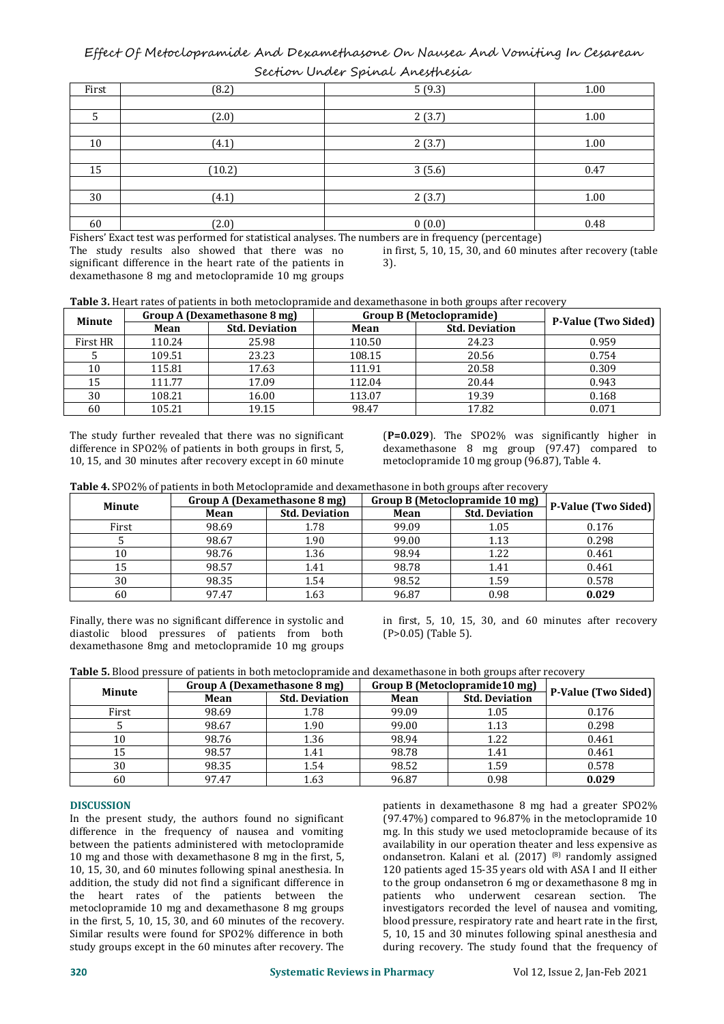Effect Of Metoclopramide And Dexamethasone On Nausea And Vomiting In Cesarean Section Under Spinal Anesthesia

| First | (8.2)  | 5(9.3) | 1.00 |
|-------|--------|--------|------|
|       |        |        |      |
| .5    | (2.0)  | 2(3.7) | 1.00 |
|       |        |        |      |
| 10    | (4.1)  | 2(3.7) | 1.00 |
|       |        |        |      |
| 15    | (10.2) | 3(5.6) | 0.47 |
|       |        |        |      |
| 30    | (4.1)  | 2(3.7) | 1.00 |
|       |        |        |      |
| 60    | (2.0)  | 0(0.0) | 0.48 |

Fishers' Exact test was performed for statistical analyses. The numbers are in frequency (percentage)

The study results also showed that there was no significant difference in the heart rate of the patients in dexamethasone 8 mg and metoclopramide 10 mg groups

in first, 5, 10, 15, 30, and 60 minutes after recovery (table 3).

Table 3. Heart rates of patients in both metoclopramide and dexamethasone in both groups after recovery

| <b>Minute</b> | Group A (Dexamethasone 8 mg)  |       | Group B (Metoclopramide)      |       |                            |  |
|---------------|-------------------------------|-------|-------------------------------|-------|----------------------------|--|
|               | <b>Std. Deviation</b><br>Mean |       | <b>Std. Deviation</b><br>Mean |       | <b>P-Value (Two Sided)</b> |  |
| First HR      | 110.24                        | 25.98 | 110.50                        | 24.23 | 0.959                      |  |
|               | 109.51                        | 23.23 | 108.15                        | 20.56 | 0.754                      |  |
| 10            | 115.81                        | 17.63 | 111.91                        | 20.58 | 0.309                      |  |
| 15            | 111.77                        | 17.09 | 112.04                        | 20.44 | 0.943                      |  |
| 30            | 108.21                        | 16.00 | 113.07                        | 19.39 | 0.168                      |  |
| 60            | 105.21                        | 19.15 | 98.47                         | 17.82 | 0.071                      |  |

The study further revealed that there was no significant difference in SPO2% of patients in both groups in first, 5, 10, 15, and 30 minutes after recovery exceptin 60 minute

(**P=0.029**). The SPO2% was significantly higher in dexamethasone 8 mg group (97.47) compared to metoclopramide 10 mg group (96.87), Table 4.

**Table 4.** SPO2% of patients in both Metoclopramide and dexamethasone in both groups after recovery

| Minute | Group A (Dexamethasone 8 mg) |                       | Group B (Metoclopramide 10 mg) | P-Value (Two Sided)   |       |
|--------|------------------------------|-----------------------|--------------------------------|-----------------------|-------|
|        | Mean                         | <b>Std. Deviation</b> | Mean                           | <b>Std. Deviation</b> |       |
| First  | 98.69                        | 1.78                  | 99.09                          | 1.05                  | 0.176 |
|        | 98.67                        | 1.90                  | 99.00                          | 1.13                  | 0.298 |
| 10     | 98.76                        | 1.36                  | 98.94                          | 1.22                  | 0.461 |
| 15     | 98.57                        | 1.41                  | 98.78                          | 1.41                  | 0.461 |
| 30     | 98.35                        | 1.54                  | 98.52                          | 1.59                  | 0.578 |
| 60     | 97.47                        | 1.63                  | 96.87                          | 0.98                  | 0.029 |

Finally, there was no significant difference in systolic and diastolic blood pressures of patients from both dexamethasone 8mg and metoclopramide 10 mg groups

in first, 5, 10, 15, 30, and 60 minutes after recovery (P>0.05) (Table 5).

| <b>Table 5.</b> Blood pressure of patients in both metoclopramide and dexamethasone in both groups after recovery |  |  |  |  |  |
|-------------------------------------------------------------------------------------------------------------------|--|--|--|--|--|
|                                                                                                                   |  |  |  |  |  |

| Minute | Group A (Dexamethasone 8 mg) |                       |       | Group B (Metoclopramide10 mg) |                            |  |
|--------|------------------------------|-----------------------|-------|-------------------------------|----------------------------|--|
|        | Mean                         | <b>Std. Deviation</b> | Mean  | <b>Std. Deviation</b>         | <b>P-Value (Two Sided)</b> |  |
| First  | 98.69                        | 1.78                  | 99.09 | 1.05                          | 0.176                      |  |
|        | 98.67                        | 1.90                  | 99.00 | 1.13                          | 0.298                      |  |
| 10     | 98.76                        | 1.36                  | 98.94 | 1.22                          | 0.461                      |  |
| 15     | 98.57                        | 1.41                  | 98.78 | 1.41                          | 0.461                      |  |
| 30     | 98.35                        | 1.54                  | 98.52 | 1.59                          | 0.578                      |  |
| 60     | 97.47                        | 1.63                  | 96.87 | 0.98                          | 0.029                      |  |

#### **DISCUSSION**

In the present study, the authors found no significant difference in the frequency of nausea and vomiting between the patients administered with metoclopramide 10 mg and those with dexamethasone 8 mg in the first, 5, 10, 15, 30, and 60 minutes following spinal anesthesia. In addition, the study did not find a significant difference in the heart rates of the patients between the metoclopramide 10 mg and dexamethasone 8 mg groups in the first, 5, 10, 15, 30, and 60 minutes of the recovery. Similar results were found for SPO2% difference in both study groups except in the 60 minutes after recovery. The

patients in dexamethasone 8 mg had a greater SPO2% (97.47%) compared to 96.87% in the metoclopramide 10 mg. In this study we used metoclopramide because of its availability in our operation theater and less expensive as ondansetron. Kalani et al. (2017) (8) randomly assigned 120 patients aged 15-35 years old with ASA I and II either to the group ondansetron 6 mg or dexamethasone 8 mg in patients who underwent cesarean section. The investigators recorded the level of nausea and vomiting, blood pressure, respiratory rate and heart rate in the first, 5,10, 15 and 30 minutes following spinal anesthesia and during recovery. The study found that the frequency of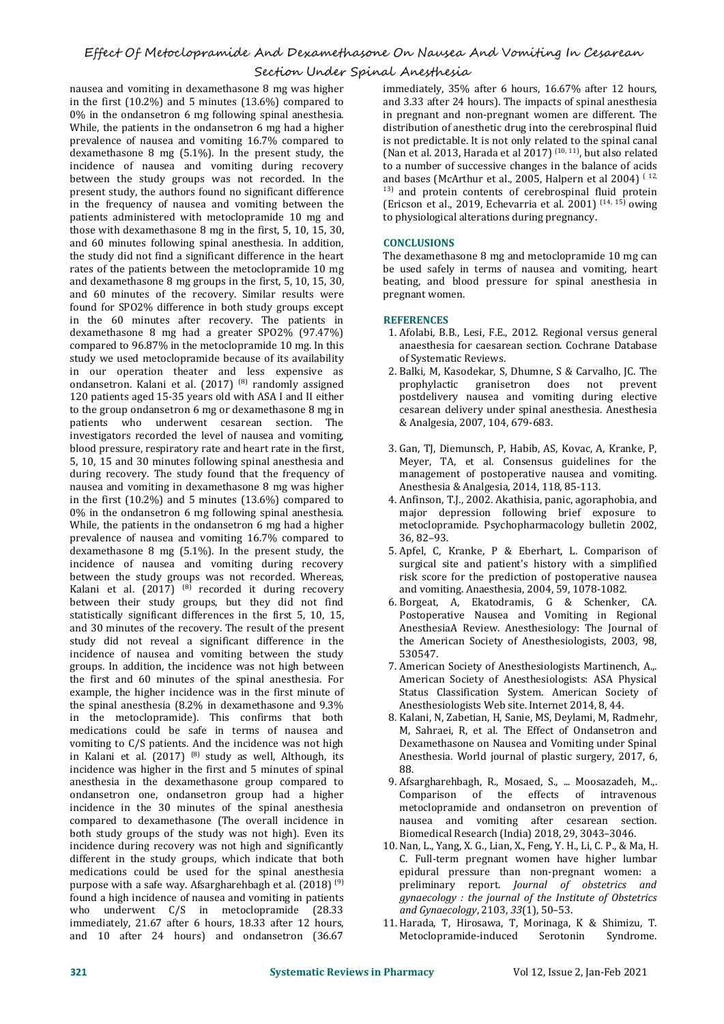## Section Under Spinal Anesthesia

nausea and vomiting in dexamethasone 8 mg was higher in the first (10.2%) and 5 minutes (13.6%) compared to 0% in the ondansetron 6 mg following spinal anesthesia. While, the patients in the ondansetron 6 mg had a higher prevalence of nausea and vomiting 16.7% compared to dexamethasone 8 mg (5.1%). In the present study, the incidence of nausea and vomiting during recovery between the study groups was not recorded. In the present study, the authors found no significant difference in the frequency of nausea and vomiting between the patients administered with metoclopramide 10 mg and those with dexamethasone 8 mg in the first, 5, 10, 15, 30, and 60 minutes following spinal anesthesia. In addition, the study did not find a significant difference in the heart rates of the patients between the metoclopramide 10 mg and dexamethasone 8 mg groups in the first, 5, 10, 15, 30, and 60 minutes of the recovery. Similar results were found for SPO2% difference in both study groups except in the 60 minutes after recovery. The patients in dexamethasone 8 mg had a greater SPO2% (97.47%) compared to 96.87% in the metoclopramide 10 mg. In this study we used metoclopramide because of its availability in our operation theater and less expensive as ondansetron. Kalani et al. (2017) <sup>(8)</sup> randomly assigned **that in the prophylactic** 120 patients aged 15-35 years old with ASA I and II either to the group ondansetron 6 mg or dexamethasone 8 mg in patients who underwent cesarean section. The investigators recorded the level of nausea and vomiting, blood pressure, respiratory rate and heart rate in the first, 5, 10, 15 and 30 minutes following spinal anesthesia and during recovery. The study found that the frequency of nausea and vomiting in dexamethasone 8 mg was higher in the first (10.2%) and 5 minutes (13.6%) compared to 0% in the ondansetron 6 mg following spinal anesthesia. While, the patients in the ondansetron  $6 \text{ mg}$  had a higher metoclopraneouslence of nausea and vomiting  $16.7\%$  compared to  $36.82-93$ . prevalence of nausea and vomiting 16.7% compared to dexamethasone 8 mg (5.1%). In the present study, the incidence of nausea and vomiting during recovery between the study groups was not recorded. Whereas, Kalani et al. (2017) <sup>(8)</sup> recorded it during recovery and vomiti between their study groups, but they did not find statistically significant differences in the first 5, 10, 15, and 30 minutes of the recovery. The result of the present study did not reveal a significant difference in the incidence of nausea and vomiting between the study groups. In addition, the incidence was not high between the first and 60 minutes of the spinal anesthesia. For example, the higher incidence was in the first minute of the spinal anesthesia (8.2% in dexamethasone and 9.3% in the metoclopramide). This confirms that both medications could be safe in terms of nausea and vomiting to  $C/S$  patients. And the incidence was not high in Kalani et al. (2017) <sup>(8)</sup> study as well, Although, its Anesth incidence was higher in the first and 5 minutes of spinal anesthesia in the dexamethasone group compared to ondansetron one, ondansetron group had a higher incidence in the 30 minutes of the spinal anesthesia compared to dexamethasone (The overall incidence in both study groups of the study was not high). Even its incidence during recovery was not high and significantly different in the study groups, which indicate that both medications could be used for the spinal anesthesia purpose with a safe way. Afsargharehbagh et al. (2018) <sup>(9)</sup> pr found a high incidence of nausea and vomiting in patients who underwent C/S in metoclopramide (28.33 immediately, 21.67 after 6 hours,18.33 after 12 hours, and 10 after 24 hours) and ondansetron (36.67

immediately, 35% after 6 hours, 16.67% after 12 hours, and 3.33 after 24 hours). The impacts of spinal anesthesia in pregnant and non-pregnant women are different. The distribution of anesthetic drug into the cerebrospinal fluid is not predictable. It is not only related to the spinal canal (Nan et al. 2013, Harada et al 2017) (10, 11) , but also related to a number of successive changes in the balance of acids and bases (McArthur et al., 2005, Halpern et al 2004) ( 12, <sup>13)</sup> and protein contents of cerebrospinal fluid protein (Ericson et al., 2019, Echevarria et al. 2001)  $^{(14, 15)}$  owing to physiological alterations during pregnancy.

### **CONCLUSIONS**

The dexamethasone 8 mg and metoclopramide 10 mg can be used safely in terms of nausea and vomiting, heart beating, and blood pressure for spinal anesthesia in pregnant women.

#### **REFERENCES**

- 1. Afolabi, B.B., Lesi, F.E., 2012. Regional versus general anaesthesia for caesarean section. Cochrane Database of Systematic Reviews.
- 2. Balki, M, Kasodekar, S, Dhumne, S & Carvalho, JC. The prophylactic granisetron does not prevent postdelivery nausea and vomiting during elective cesarean delivery under spinal anesthesia. Anesthesia & Analgesia, 2007, 104, 679-683.
- 3. Gan, TJ, Diemunsch, P, Habib, AS, Kovac, A, Kranke, P, Meyer, TA, et al. Consensus guidelines for the management of postoperative nausea and vomiting. Anesthesia & Analgesia, 2014, 118, 85-113.
- 4. Anfinson, T.J., 2002. Akathisia, panic, agoraphobia, and major depression following brief exposure to metoclopramide. Psychopharmacology bulletin 2002, 36, 82–93.
- 5. Apfel, C, Kranke, P & Eberhart, L. Comparison of surgical site and patient's history with a simplified risk score for the prediction of postoperative nausea and vomiting. Anaesthesia, 2004, 59, 1078-1082.
- 6. Borgeat, A, Ekatodramis, G & Schenker, CA. Postoperative Nausea and Vomiting in Regional AnesthesiaA Review. Anesthesiology: The Journal of the American Society of Anesthesiologists, 2003, 98, 530547.
- 7. American Society of Anesthesiologists Martinench, A.,. American Society of Anesthesiologists: ASA Physical Status Classification System. American Society of Anesthesiologists Web site.Internet 2014, 8, 44.
- 8. Kalani, N, Zabetian, H, Sanie, MS, Deylami, M, Radmehr, M, Sahraei, R, et al. The Effect of Ondansetron and Dexamethasone on Nausea and Vomiting under Spinal Anesthesia. World journal of plastic surgery, 2017, 6, 88.
- 9. Afsargharehbagh, R., Mosaed, S., ... Moosazadeh, M.,. Comparison of the effects of intravenous metoclopramide and ondansetron on prevention of nausea and vomiting after cesarean section. Biomedical Research (India)2018, 29, 3043–3046.
- 10. Nan, L., Yang, X. G., Lian, X., Feng, Y. H., Li, C. P., & Ma, H. C. Full-term pregnant women have higher lumbar epidural pressure than non-pregnant women: a preliminary report. *Journal of obstetrics and gynaecology : the journal of the Institute of Obstetrics and Gynaecology*, 2103, *33*(1), 50–53.
- 11. Harada, T, Hirosawa, T, Morinaga, K & Shimizu, T. Metoclopramide-induced